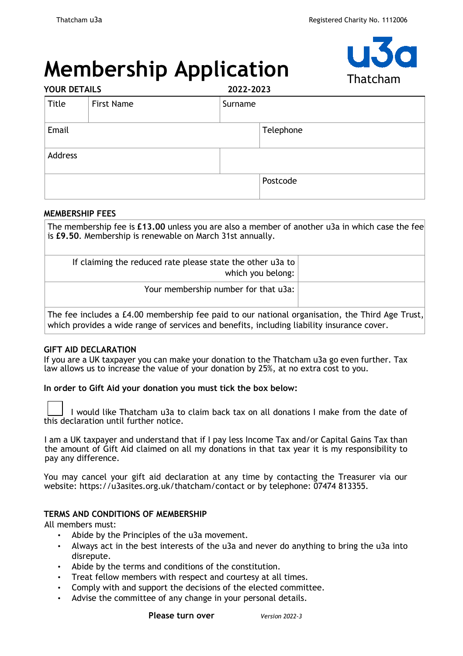# **Membership Application**



| <b>YOUR DETAILS</b> |                   | 2022-2023 |           |
|---------------------|-------------------|-----------|-----------|
| Title               | <b>First Name</b> | Surname   |           |
| Email               |                   |           | Telephone |
| Address             |                   |           |           |
|                     |                   |           | Postcode  |

## **MEMBERSHIP FEES**

The membership fee is **£13.00** unless you are also a member of another u3a in which case the fee is **£9.50**. Membership is renewable on March 31st annually.

|                                                                                                 | If claiming the reduced rate please state the other u3a to<br>which you belong: |  |  |  |  |
|-------------------------------------------------------------------------------------------------|---------------------------------------------------------------------------------|--|--|--|--|
|                                                                                                 | Your membership number for that u3a:                                            |  |  |  |  |
| The fee includes a £4.00 membership fee paid to our national organisation, the Third Age Trust. |                                                                                 |  |  |  |  |

The fee includes a £4.00 membership fee paid to our national organisation, the Third Age Trust, $\mid$ which provides a wide range of services and benefits, including liability insurance cover.

# **GIFT AID DECLARATION**

If you are a UK taxpayer you can make your donation to the Thatcham u3a go even further. Tax law allows us to increase the value of your donation by 25%, at no extra cost to you.

**In order to Gift Aid your donation you must tick the box below:** 

 I would like Thatcham u3a to claim back tax on all donations I make from the date of this declaration until further notice.

I am a UK taxpayer and understand that if I pay less Income Tax and/or Capital Gains Tax than the amount of Gift Aid claimed on all my donations in that tax year it is my responsibility to pay any difference.

You may cancel your gift aid declaration at any time by contacting the Treasurer via our website:<https://u3asites.org.uk/thatcham/contact> or by telephone: 07474 813355.

#### **TERMS AND CONDITIONS OF MEMBERSHIP**

All members must:

- Abide by the Principles of the u3a movement.
- Always act in the best interests of the u3a and never do anything to bring the u3a into disrepute.
- Abide by the terms and conditions of the constitution.
- Treat fellow members with respect and courtesy at all times.
- Comply with and support the decisions of the elected committee.
- Advise the committee of any change in your personal details.